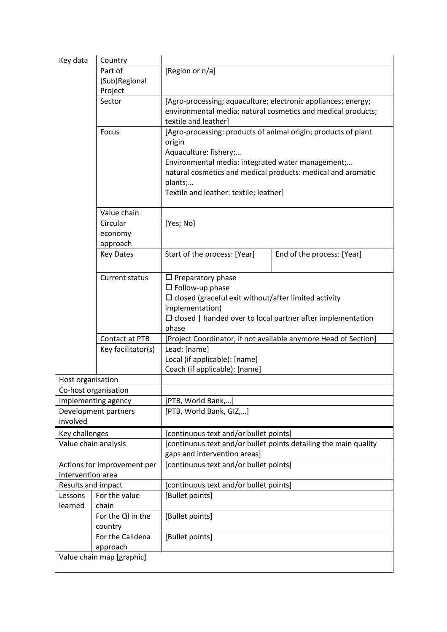| Key data                                         | Country                                                                        |                                                                                                                   |                            |  |
|--------------------------------------------------|--------------------------------------------------------------------------------|-------------------------------------------------------------------------------------------------------------------|----------------------------|--|
|                                                  | Part of                                                                        | [Region or n/a]                                                                                                   |                            |  |
|                                                  | (Sub)Regional                                                                  |                                                                                                                   |                            |  |
|                                                  | Project<br>Sector                                                              | [Agro-processing; aquaculture; electronic appliances; energy;                                                     |                            |  |
|                                                  |                                                                                | environmental media; natural cosmetics and medical products;                                                      |                            |  |
|                                                  |                                                                                | textile and leather]                                                                                              |                            |  |
|                                                  | Focus                                                                          | [Agro-processing: products of animal origin; products of plant<br>origin                                          |                            |  |
|                                                  |                                                                                |                                                                                                                   |                            |  |
|                                                  | Aquaculture: fishery;                                                          |                                                                                                                   |                            |  |
|                                                  |                                                                                | Environmental media: integrated water management;<br>natural cosmetics and medical products: medical and aromatic |                            |  |
| plants;                                          |                                                                                |                                                                                                                   |                            |  |
|                                                  |                                                                                | Textile and leather: textile; leather]                                                                            |                            |  |
|                                                  |                                                                                |                                                                                                                   |                            |  |
|                                                  | Value chain                                                                    |                                                                                                                   |                            |  |
|                                                  | Circular                                                                       | [Yes; No]                                                                                                         |                            |  |
|                                                  | economy                                                                        |                                                                                                                   |                            |  |
|                                                  | approach                                                                       |                                                                                                                   |                            |  |
|                                                  | <b>Key Dates</b>                                                               | Start of the process: [Year]                                                                                      | End of the process: [Year] |  |
|                                                  |                                                                                |                                                                                                                   |                            |  |
|                                                  | Current status                                                                 | $\Box$ Preparatory phase<br>$\square$ Follow-up phase                                                             |                            |  |
|                                                  | $\Box$ closed (graceful exit without/after limited activity<br>implementation) |                                                                                                                   |                            |  |
|                                                  |                                                                                |                                                                                                                   |                            |  |
|                                                  |                                                                                | $\Box$ closed   handed over to local partner after implementation                                                 |                            |  |
|                                                  |                                                                                | phase                                                                                                             |                            |  |
|                                                  | Contact at PTB                                                                 | [Project Coordinator, if not available anymore Head of Section]                                                   |                            |  |
|                                                  | Key facilitator(s)                                                             | Lead: [name]                                                                                                      |                            |  |
|                                                  |                                                                                | Local (if applicable): [name]<br>Coach (if applicable): [name]                                                    |                            |  |
| Host organisation                                |                                                                                |                                                                                                                   |                            |  |
| Co-host organisation                             |                                                                                |                                                                                                                   |                            |  |
| Implementing agency                              |                                                                                | [PTB, World Bank,]                                                                                                |                            |  |
| Development partners                             |                                                                                | [PTB, World Bank, GIZ,]                                                                                           |                            |  |
| involved                                         |                                                                                |                                                                                                                   |                            |  |
| Key challenges                                   |                                                                                | [continuous text and/or bullet points]                                                                            |                            |  |
| Value chain analysis                             |                                                                                | [continuous text and/or bullet points detailing the main quality                                                  |                            |  |
|                                                  |                                                                                | gaps and intervention areas]                                                                                      |                            |  |
| Actions for improvement per<br>intervention area |                                                                                | [continuous text and/or bullet points]                                                                            |                            |  |
| Results and impact                               |                                                                                | [continuous text and/or bullet points]                                                                            |                            |  |
| Lessons                                          | For the value                                                                  | [Bullet points]                                                                                                   |                            |  |
| learned                                          | chain                                                                          |                                                                                                                   |                            |  |
|                                                  | For the QI in the                                                              | [Bullet points]                                                                                                   |                            |  |
|                                                  | country                                                                        |                                                                                                                   |                            |  |
|                                                  | For the Calidena                                                               | [Bullet points]                                                                                                   |                            |  |
|                                                  | approach                                                                       |                                                                                                                   |                            |  |
| Value chain map [graphic]                        |                                                                                |                                                                                                                   |                            |  |